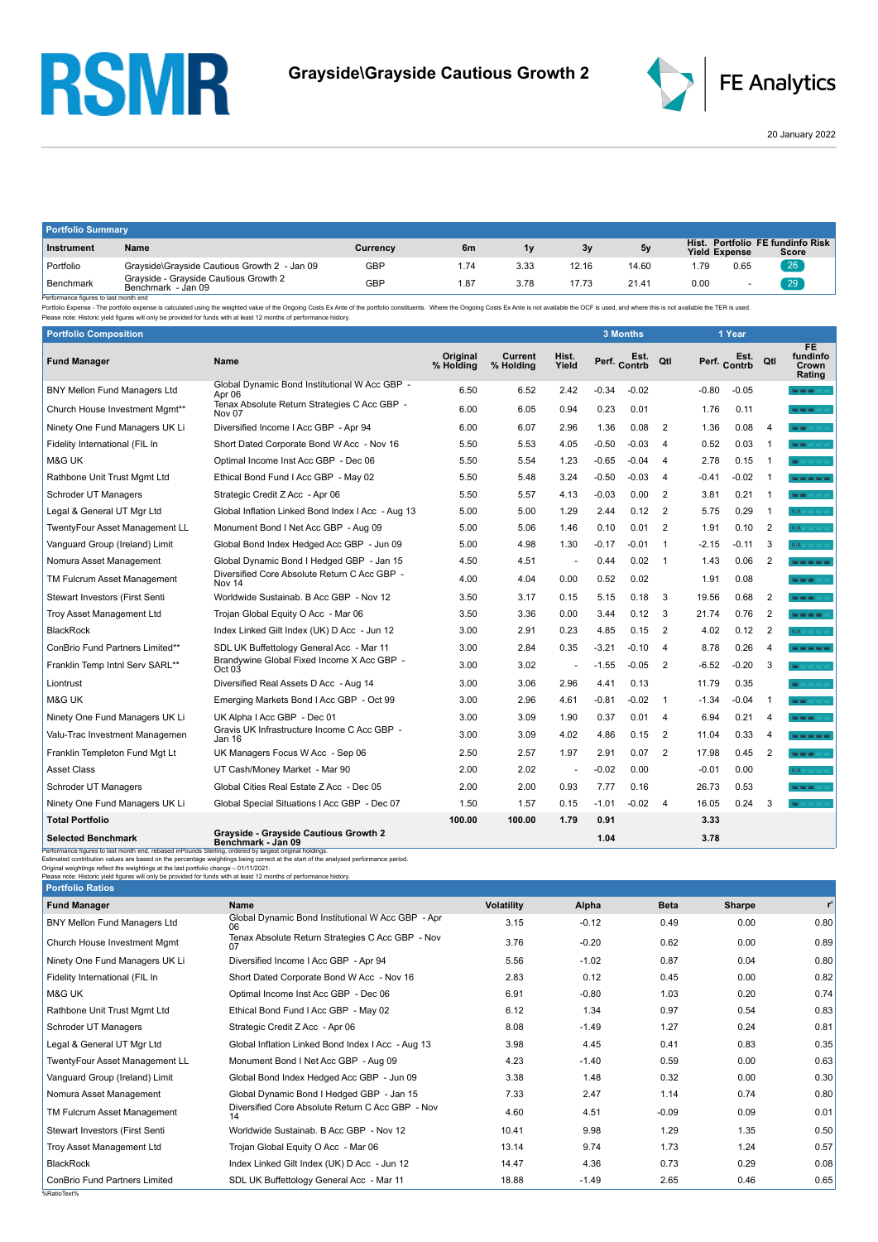## **RSMR**



20 January 2022

| <b>Portfolio Summary</b>                         |                                                             |            |      |      |       |       |                      |      |                                           |  |
|--------------------------------------------------|-------------------------------------------------------------|------------|------|------|-------|-------|----------------------|------|-------------------------------------------|--|
| Instrument                                       | Name                                                        | Currency   | 6m   | 1v   | 3v    |       | <b>Yield Expense</b> |      | Hist. Portfolio FE fundinfo Risk<br>Score |  |
| Portfolio                                        | Grayside\Grayside Cautious Growth 2 - Jan 09                | <b>GBP</b> | 1.74 | 3.33 | 12.16 | 14.60 | . 79                 | 0.65 | 26                                        |  |
| Benchmark<br>References foures to lost month and | Grayside - Grayside Cautious Growth 2<br>Benchmark - Jan 09 | <b>GBP</b> | 1.87 | 3.78 | 17.73 | 21.41 | 0.00                 |      | 29                                        |  |

Performance figures to last month end<br>Portfolio Expense - The portfolio expense is calculated using the weighted value of the Ongoing Costs Ex Ante of the portfolio constituents. Where the Ongoing Costs Ex Ante is not avai

| <b>Portfolio Composition</b>        |                                                                   |                              |                      |                          |         | 3 Months     |                |         | 1 Year       |                |                                          |
|-------------------------------------|-------------------------------------------------------------------|------------------------------|----------------------|--------------------------|---------|--------------|----------------|---------|--------------|----------------|------------------------------------------|
| <b>Fund Manager</b>                 | Name                                                              | <b>Original</b><br>% Holding | Current<br>% Holding | Hist.<br>Yield           |         | Perf. Contrb | Qtl            |         | Perf. Contrb | Qtl            | <b>FE</b><br>fundinfo<br>Crown<br>Rating |
| <b>BNY Mellon Fund Managers Ltd</b> | Global Dynamic Bond Institutional W Acc GBP -<br>Apr 06           | 6.50                         | 6.52                 | 2.42                     | $-0.34$ | $-0.02$      |                | $-0.80$ | $-0.05$      |                | <b>MOMORO</b>                            |
| Church House Investment Mgmt**      | Tenax Absolute Return Strategies C Acc GBP -<br>Nov <sub>07</sub> | 6.00                         | 6.05                 | 0.94                     | 0.23    | 0.01         |                | 1.76    | 0.11         |                | <b>MAY MAY MAY 10</b>                    |
| Ninety One Fund Managers UK Li      | Diversified Income I Acc GBP - Apr 94                             | 6.00                         | 6.07                 | 2.96                     | 1.36    | 0.08         | $\overline{2}$ | 1.36    | 0.08         | $\overline{4}$ | <b>WW</b>                                |
| Fidelity International (FIL In      | Short Dated Corporate Bond W Acc - Nov 16                         | 5.50                         | 5.53                 | 4.05                     | $-0.50$ | $-0.03$      | $\overline{4}$ | 0.52    | 0.03         | $\overline{1}$ | <b>MOMENT WAS SERVED</b>                 |
| M&G UK                              | Optimal Income Inst Acc GBP - Dec 06                              | 5.50                         | 5.54                 | 1.23                     | $-0.65$ | $-0.04$      | $\overline{4}$ | 2.78    | 0.15         | $\overline{1}$ | <b>W</b>                                 |
| Rathbone Unit Trust Mgmt Ltd        | Ethical Bond Fund I Acc GBP - May 02                              | 5.50                         | 5.48                 | 3.24                     | $-0.50$ | $-0.03$      | $\overline{4}$ | $-0.41$ | $-0.02$      | $\overline{1}$ | <b>MOVED MOVED AT</b>                    |
| Schroder UT Managers                | Strategic Credit Z Acc - Apr 06                                   | 5.50                         | 5.57                 | 4.13                     | $-0.03$ | 0.00         | 2              | 3.81    | 0.21         | -1             | <b>MOMENTO</b>                           |
| Legal & General UT Mgr Ltd          | Global Inflation Linked Bond Index I Acc - Aug 13                 | 5.00                         | 5.00                 | 1.29                     | 2.44    | 0.12         | $\overline{2}$ | 5.75    | 0.29         | -1             | N/A MAY YARDO                            |
| TwentyFour Asset Management LL      | Monument Bond I Net Acc GBP - Aug 09                              | 5.00                         | 5.06                 | 1.46                     | 0.10    | 0.01         | $\overline{2}$ | 1.91    | 0.10         | $\overline{2}$ | N/A MAY YAY YAY                          |
| Vanguard Group (Ireland) Limit      | Global Bond Index Hedged Acc GBP - Jun 09                         | 5.00                         | 4.98                 | 1.30                     | $-0.17$ | $-0.01$      | $\overline{1}$ | -2.15   | $-0.11$      | 3              | N/A Art VAY VALLA                        |
| Nomura Asset Management             | Global Dynamic Bond I Hedged GBP - Jan 15                         | 4.50                         | 4.51                 | $\overline{\phantom{a}}$ | 0.44    | 0.02         | $\overline{1}$ | 1.43    | 0.06         | 2              | <b>WOOD WORKS</b>                        |
| TM Fulcrum Asset Management         | Diversified Core Absolute Return C Acc GBP -<br>Nov 14            | 4.00                         | 4.04                 | 0.00                     | 0.52    | 0.02         |                | 1.91    | 0.08         |                | <b>MAY MAY MAY</b>                       |
| Stewart Investors (First Senti      | Worldwide Sustainab, B Acc GBP - Nov 12                           | 3.50                         | 3.17                 | 0.15                     | 5.15    | 0.18         | 3              | 19.56   | 0.68         | $\overline{2}$ | <b>WAY MAY MAY</b>                       |
| <b>Troy Asset Management Ltd</b>    | Trojan Global Equity O Acc - Mar 06                               | 3.50                         | 3.36                 | 0.00                     | 3.44    | 0.12         | 3              | 21.74   | 0.76         | $\overline{2}$ | <b>WAY MAY MAY IMAGE</b>                 |
| <b>BlackRock</b>                    | Index Linked Gilt Index (UK) D Acc - Jun 12                       | 3.00                         | 2.91                 | 0.23                     | 4.85    | 0.15         | 2              | 4.02    | 0.12         | $\overline{2}$ | N/A                                      |
| ConBrio Fund Partners Limited**     | SDL UK Buffettology General Acc - Mar 11                          | 3.00                         | 2.84                 | 0.35                     | -3.21   | -0.10        | $\overline{4}$ | 8.78    | 0.26         | $\overline{4}$ | <b>WAS WARRING</b>                       |
| Franklin Temp Intnl Serv SARL**     | Brandywine Global Fixed Income X Acc GBP -<br>Oct 03              | 3.00                         | 3.02                 | $\ddot{\phantom{1}}$     | $-1.55$ | $-0.05$      | $\overline{2}$ | $-6.52$ | $-0.20$      | 3              | <b>WE MAY VALUATION</b>                  |
| Liontrust                           | Diversified Real Assets D Acc - Aug 14                            | 3.00                         | 3.06                 | 2.96                     | 4.41    | 0.13         |                | 11.79   | 0.35         |                | <b>MY</b> MY VALLAST VAL                 |
| <b>M&amp;G UK</b>                   | Emerging Markets Bond I Acc GBP - Oct 99                          | 3.00                         | 2.96                 | 4.61                     | $-0.81$ | $-0.02$      | $\overline{1}$ | $-1.34$ | $-0.04$      | $\overline{1}$ | MOMENT VALUE                             |
| Ninety One Fund Managers UK Li      | UK Alpha I Acc GBP - Dec 01                                       | 3.00                         | 3.09                 | 1.90                     | 0.37    | 0.01         | -4             | 6.94    | 0.21         | $\overline{4}$ | MAY MAY MAY SOUTH                        |
| Valu-Trac Investment Managemen      | Gravis UK Infrastructure Income C Acc GBP -<br>Jan 16             | 3.00                         | 3.09                 | 4.02                     | 4.86    | 0.15         | $\overline{2}$ | 11.04   | 0.33         | $\overline{4}$ | <b>WAS MY MY MY</b>                      |
| Franklin Templeton Fund Mgt Lt      | UK Managers Focus W Acc - Sep 06                                  | 2.50                         | 2.57                 | 1.97                     | 2.91    | 0.07         | $\overline{2}$ | 17.98   | 0.45         | $\overline{2}$ | <b>MOMORAL</b>                           |
| <b>Asset Class</b>                  | UT Cash/Money Market - Mar 90                                     | 2.00                         | 2.02                 | ٠                        | $-0.02$ | 0.00         |                | $-0.01$ | 0.00         |                | N/A MAY YAY YAYIN                        |
| Schroder UT Managers                | Global Cities Real Estate Z Acc - Dec 05                          | 2.00                         | 2.00                 | 0.93                     | 7.77    | 0.16         |                | 26.73   | 0.53         |                | MOMORATION                               |
| Ninety One Fund Managers UK Li      | Global Special Situations I Acc GBP - Dec 07                      | 1.50                         | 1.57                 | 0.15                     | -1.01   | $-0.02$      | $\overline{4}$ | 16.05   | 0.24         | 3              |                                          |
| <b>Total Portfolio</b>              |                                                                   | 100.00                       | 100.00               | 1.79                     | 0.91    |              |                | 3.33    |              |                |                                          |
| Selected Benchmark                  | Grayside - Grayside Cautious Growth 2                             |                              |                      |                          | 1 04    |              |                | 3.78    |              |                |                                          |

| <b>Selected Benchmark</b>                                                                                                                                                                                                                                                                                                | <b>Grayside - Grayside Cautious Growth 2</b><br>Benchmark - Jan 09                                                                  |                   | 1.04    |             | 3.78   |       |
|--------------------------------------------------------------------------------------------------------------------------------------------------------------------------------------------------------------------------------------------------------------------------------------------------------------------------|-------------------------------------------------------------------------------------------------------------------------------------|-------------------|---------|-------------|--------|-------|
| Performance figures to last month end, rebased in Pounds Sterling, ordered by largest original holdings.<br>Original weightings reflect the weightings at the last portfolio change - 01/11/2021.<br>Please note: Historic yield figures will only be provided for funds with at least 12 months of performance history. | Estimated contribution values are based on the percentage weightings being correct at the start of the analysed performance period. |                   |         |             |        |       |
| <b>Portfolio Ratios</b>                                                                                                                                                                                                                                                                                                  |                                                                                                                                     |                   |         |             |        |       |
| <b>Fund Manager</b>                                                                                                                                                                                                                                                                                                      | Name                                                                                                                                | <b>Volatility</b> | Alpha   | <b>Beta</b> | Sharpe | $r^2$ |
| <b>BNY Mellon Fund Managers Ltd</b>                                                                                                                                                                                                                                                                                      | Global Dynamic Bond Institutional W Acc GBP - Apr<br>06                                                                             | 3.15              | $-0.12$ | 0.49        | 0.00   | 0.80  |
| Church House Investment Mgmt                                                                                                                                                                                                                                                                                             | Tenax Absolute Return Strategies C Acc GBP - Nov<br>07                                                                              | 3.76              | $-0.20$ | 0.62        | 0.00   | 0.89  |
| Ninety One Fund Managers UK Li                                                                                                                                                                                                                                                                                           | Diversified Income I Acc GBP - Apr 94                                                                                               | 5.56              | $-1.02$ | 0.87        | 0.04   | 0.80  |
| Fidelity International (FIL In                                                                                                                                                                                                                                                                                           | Short Dated Corporate Bond W Acc - Nov 16                                                                                           | 2.83              | 0.12    | 0.45        | 0.00   | 0.82  |
| M&G UK                                                                                                                                                                                                                                                                                                                   | Optimal Income Inst Acc GBP - Dec 06                                                                                                | 6.91              | $-0.80$ | 1.03        | 0.20   | 0.74  |
| Rathbone Unit Trust Mgmt Ltd                                                                                                                                                                                                                                                                                             | Ethical Bond Fund I Acc GBP - May 02                                                                                                | 6.12              | 1.34    | 0.97        | 0.54   | 0.83  |
| Schroder UT Managers                                                                                                                                                                                                                                                                                                     | Strategic Credit Z Acc - Apr 06                                                                                                     | 8.08              | $-1.49$ | 1.27        | 0.24   | 0.81  |
| Legal & General UT Mgr Ltd                                                                                                                                                                                                                                                                                               | Global Inflation Linked Bond Index I Acc - Aug 13                                                                                   | 3.98              | 4.45    | 0.41        | 0.83   | 0.35  |
| TwentyFour Asset Management LL                                                                                                                                                                                                                                                                                           | Monument Bond I Net Acc GBP - Aug 09                                                                                                | 4.23              | $-1.40$ | 0.59        | 0.00   | 0.63  |
| Vanguard Group (Ireland) Limit                                                                                                                                                                                                                                                                                           | Global Bond Index Hedged Acc GBP - Jun 09                                                                                           | 3.38              | 1.48    | 0.32        | 0.00   | 0.30  |
| Nomura Asset Management                                                                                                                                                                                                                                                                                                  | Global Dynamic Bond I Hedged GBP - Jan 15                                                                                           | 7.33              | 2.47    | 1.14        | 0.74   | 0.80  |
| TM Fulcrum Asset Management                                                                                                                                                                                                                                                                                              | Diversified Core Absolute Return C Acc GBP - Nov<br>14                                                                              | 4.60              | 4.51    | $-0.09$     | 0.09   | 0.01  |
| <b>Stewart Investors (First Senti</b>                                                                                                                                                                                                                                                                                    | Worldwide Sustainab, B Acc GBP - Nov 12                                                                                             | 10.41             | 9.98    | 1.29        | 1.35   | 0.50  |
| <b>Troy Asset Management Ltd</b>                                                                                                                                                                                                                                                                                         | Trojan Global Equity O Acc - Mar 06                                                                                                 | 13.14             | 9.74    | 1.73        | 1.24   | 0.57  |
| <b>BlackRock</b>                                                                                                                                                                                                                                                                                                         | Index Linked Gilt Index (UK) D Acc - Jun 12                                                                                         | 14.47             | 4.36    | 0.73        | 0.29   | 0.08  |
| <b>ConBrio Fund Partners Limited</b>                                                                                                                                                                                                                                                                                     | SDL UK Buffettology General Acc - Mar 11                                                                                            | 18.88             | $-1.49$ | 2.65        | 0.46   | 0.65  |

%RatioText%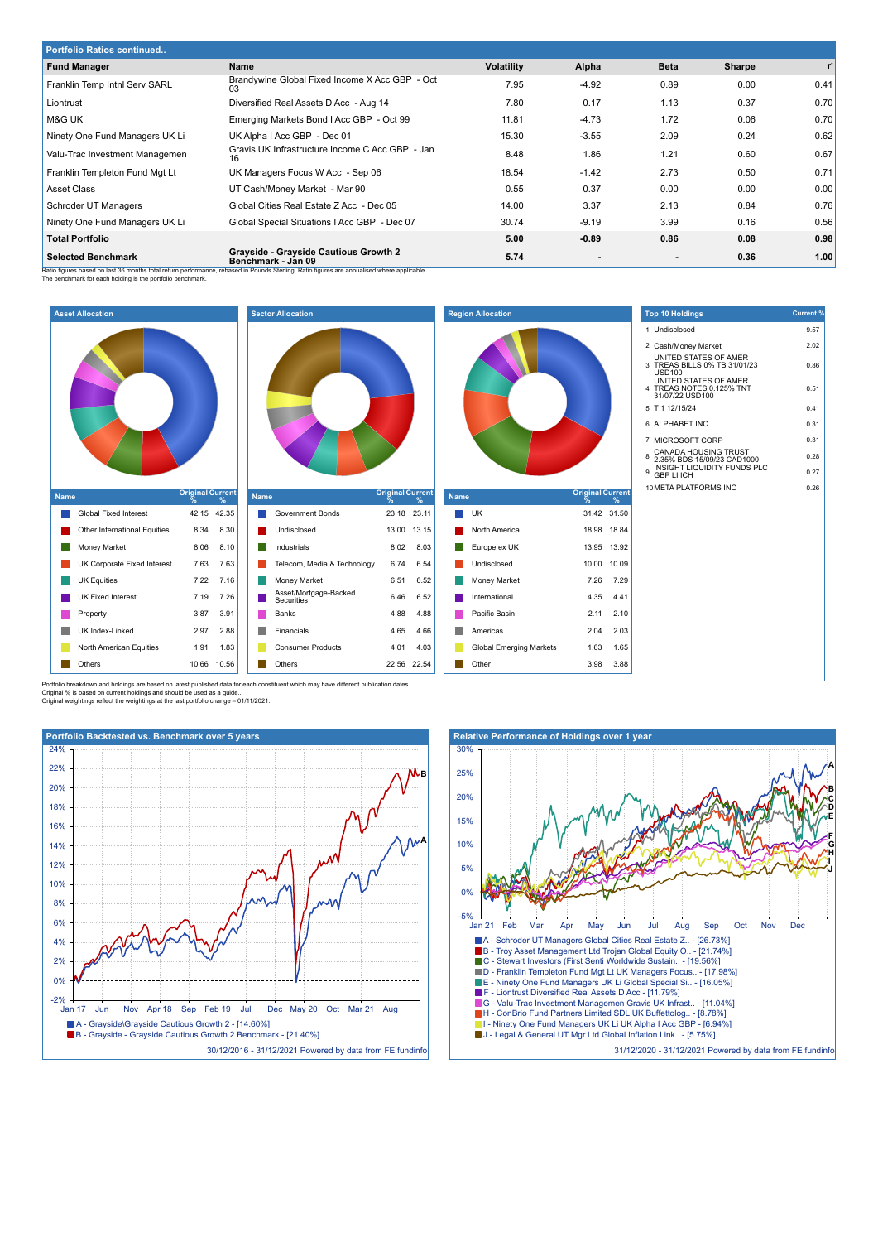| <b>Portfolio Ratios continued</b> |                                                                                                                                                                                                         |                   |         |             |        |      |  |  |
|-----------------------------------|---------------------------------------------------------------------------------------------------------------------------------------------------------------------------------------------------------|-------------------|---------|-------------|--------|------|--|--|
| <b>Fund Manager</b>               | Name                                                                                                                                                                                                    | <b>Volatility</b> | Alpha   | <b>Beta</b> | Sharpe | r    |  |  |
| Franklin Temp Intnl Serv SARL     | Brandywine Global Fixed Income X Acc GBP - Oct<br>03                                                                                                                                                    | 7.95              | $-4.92$ | 0.89        | 0.00   | 0.41 |  |  |
| Liontrust                         | Diversified Real Assets D Acc - Aug 14                                                                                                                                                                  | 7.80              | 0.17    | 1.13        | 0.37   | 0.70 |  |  |
| M&G UK                            | Emerging Markets Bond I Acc GBP - Oct 99                                                                                                                                                                | 11.81             | $-4.73$ | 1.72        | 0.06   | 0.70 |  |  |
| Ninety One Fund Managers UK Li    | UK Alpha I Acc GBP - Dec 01                                                                                                                                                                             | 15.30             | $-3.55$ | 2.09        | 0.24   | 0.62 |  |  |
| Valu-Trac Investment Managemen    | Gravis UK Infrastructure Income C Acc GBP - Jan<br>16                                                                                                                                                   | 8.48              | 1.86    | 1.21        | 0.60   | 0.67 |  |  |
| Franklin Templeton Fund Mgt Lt    | UK Managers Focus W Acc - Sep 06                                                                                                                                                                        | 18.54             | $-1.42$ | 2.73        | 0.50   | 0.71 |  |  |
| Asset Class                       | UT Cash/Money Market - Mar 90                                                                                                                                                                           | 0.55              | 0.37    | 0.00        | 0.00   | 0.00 |  |  |
| Schroder UT Managers              | Global Cities Real Estate Z Acc - Dec 05                                                                                                                                                                | 14.00             | 3.37    | 2.13        | 0.84   | 0.76 |  |  |
| Ninety One Fund Managers UK Li    | Global Special Situations I Acc GBP - Dec 07                                                                                                                                                            | 30.74             | $-9.19$ | 3.99        | 0.16   | 0.56 |  |  |
| <b>Total Portfolio</b>            |                                                                                                                                                                                                         | 5.00              | $-0.89$ | 0.86        | 0.08   | 0.98 |  |  |
| <b>Selected Benchmark</b>         | Grayside - Grayside Cautious Growth 2<br>Benchmark - Jan 09<br>Patio figures based on last 36 months total return nerformance, rebased in Pounds Sterling. Ratio figures are annualised where annicable | 5.74              |         |             | 0.36   | 1.00 |  |  |

Ratio figures based on last 36 months total return performance, rebased in Pounds Sterling. Ratio figures are annualised where applicable.<br>The benchmark for each holding is the portfolio benchmark.



Portfolio breakdown and holdings are based on latest published data for each constituent which may have different publication dates. Original % is based on current holdings and should be used as a guide.. Original weightings reflect the weightings at the last portfolio change – 01/11/2021.